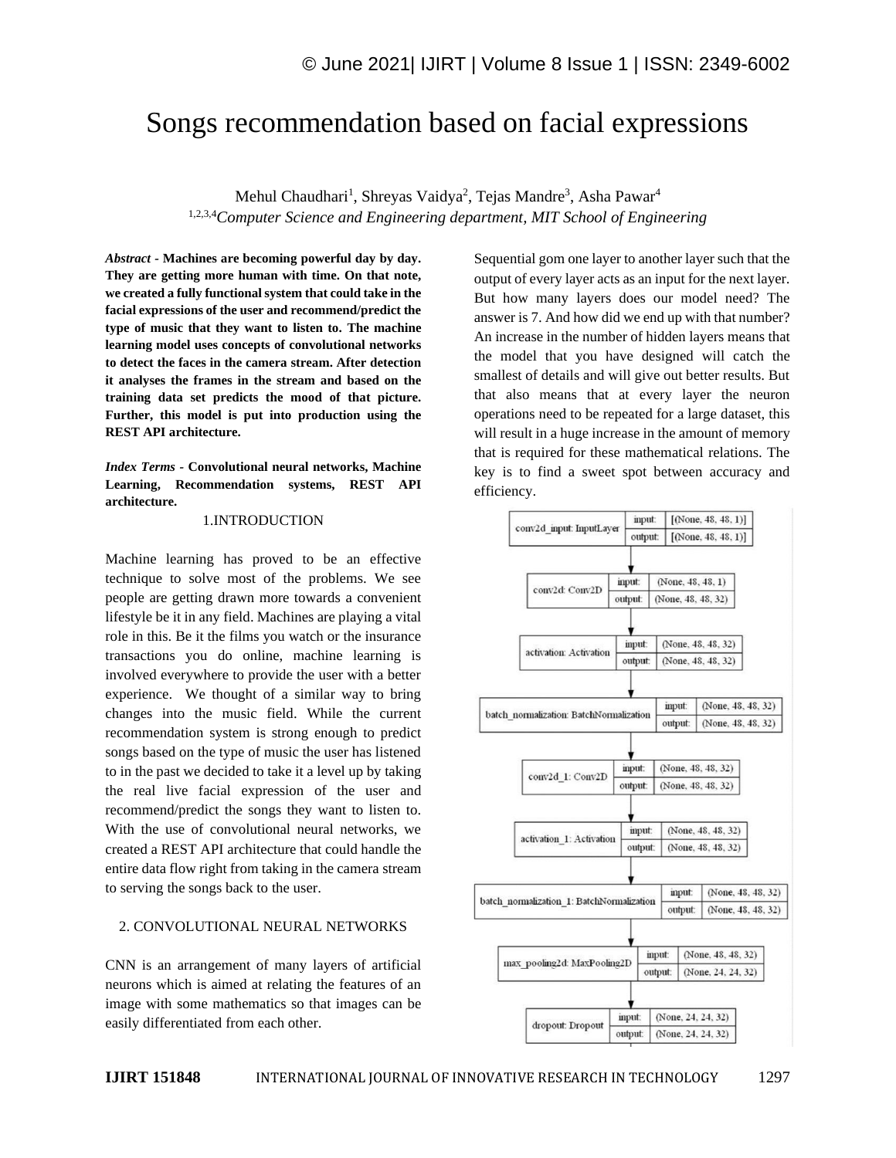# Songs recommendation based on facial expressions

Mehul Chaudhari<sup>1</sup>, Shreyas Vaidya<sup>2</sup>, Tejas Mandre<sup>3</sup>, Asha Pawar<sup>4</sup> 1,2,3,4*Computer Science and Engineering department, MIT School of Engineering*

*Abstract -* **Machines are becoming powerful day by day. They are getting more human with time. On that note, we created a fully functional system that could take in the facial expressions of the user and recommend/predict the type of music that they want to listen to. The machine learning model uses concepts of convolutional networks to detect the faces in the camera stream. After detection it analyses the frames in the stream and based on the training data set predicts the mood of that picture. Further, this model is put into production using the REST API architecture.**

*Index Terms -* **Convolutional neural networks, Machine Learning, Recommendation systems, REST API architecture.**

#### 1.INTRODUCTION

Machine learning has proved to be an effective technique to solve most of the problems. We see people are getting drawn more towards a convenient lifestyle be it in any field. Machines are playing a vital role in this. Be it the films you watch or the insurance transactions you do online, machine learning is involved everywhere to provide the user with a better experience. We thought of a similar way to bring changes into the music field. While the current recommendation system is strong enough to predict songs based on the type of music the user has listened to in the past we decided to take it a level up by taking the real live facial expression of the user and recommend/predict the songs they want to listen to. With the use of convolutional neural networks, we created a REST API architecture that could handle the entire data flow right from taking in the camera stream to serving the songs back to the user.

## 2. CONVOLUTIONAL NEURAL NETWORKS

CNN is an arrangement of many layers of artificial neurons which is aimed at relating the features of an image with some mathematics so that images can be easily differentiated from each other.

Sequential gom one layer to another layer such that the output of every layer acts as an input for the next layer. But how many layers does our model need? The answer is 7. And how did we end up with that number? An increase in the number of hidden layers means that the model that you have designed will catch the smallest of details and will give out better results. But that also means that at every layer the neuron operations need to be repeated for a large dataset, this will result in a huge increase in the amount of memory that is required for these mathematical relations. The key is to find a sweet spot between accuracy and efficiency.

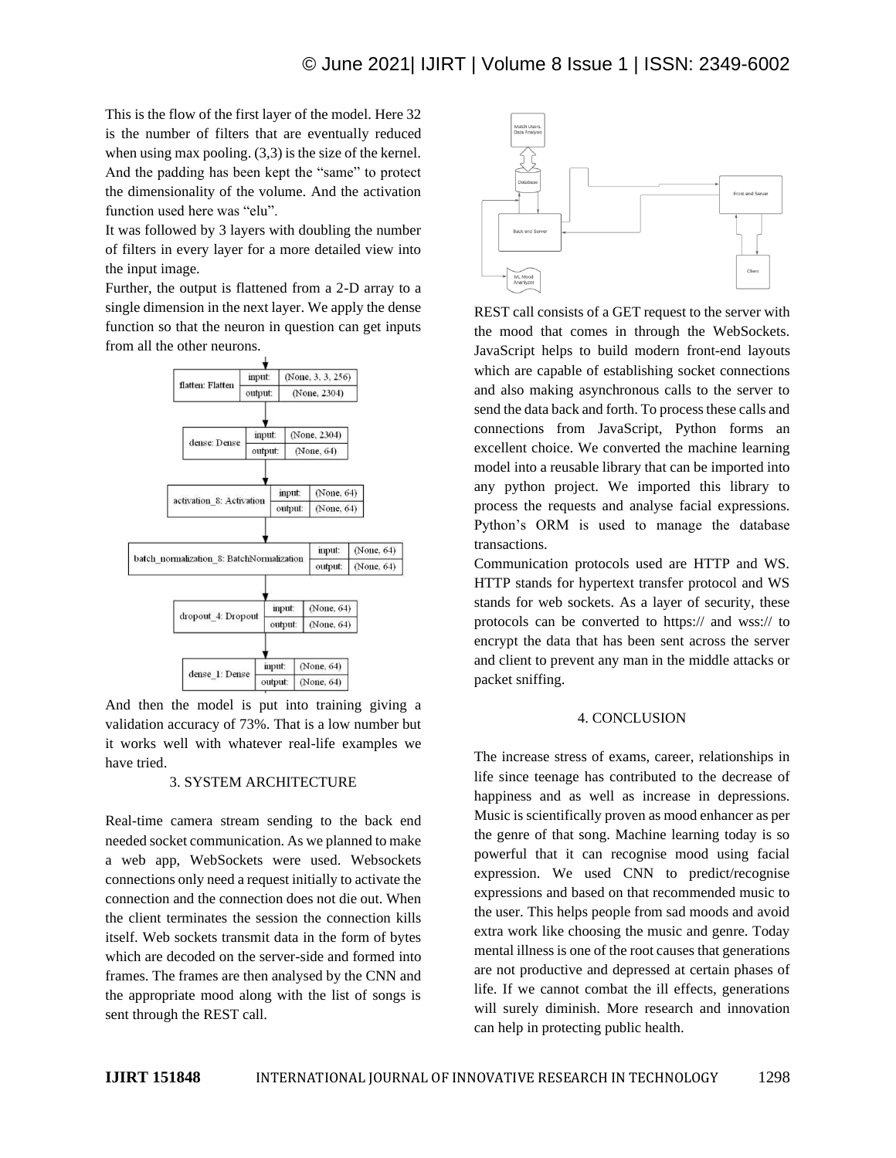This is the flow of the first layer of the model. Here 32 is the number of filters that are eventually reduced when using max pooling. (3,3) is the size of the kernel. And the padding has been kept the "same" to protect the dimensionality of the volume. And the activation function used here was "elu".

It was followed by 3 layers with doubling the number of filters in every layer for a more detailed view into the input image.

Further, the output is flattened from a 2-D array to a single dimension in the next layer. We apply the dense function so that the neuron in question can get inputs from all the other neurons.



And then the model is put into training giving a validation accuracy of 73%. That is a low number but it works well with whatever real-life examples we have tried.

### 3. SYSTEM ARCHITECTURE

Real-time camera stream sending to the back end needed socket communication. As we planned to make a web app, WebSockets were used. Websockets connections only need a request initially to activate the connection and the connection does not die out. When the client terminates the session the connection kills itself. Web sockets transmit data in the form of bytes which are decoded on the server-side and formed into frames. The frames are then analysed by the CNN and the appropriate mood along with the list of songs is sent through the REST call.



REST call consists of a GET request to the server with the mood that comes in through the WebSockets. JavaScript helps to build modern front-end layouts which are capable of establishing socket connections and also making asynchronous calls to the server to send the data back and forth. To process these calls and connections from JavaScript, Python forms an excellent choice. We converted the machine learning model into a reusable library that can be imported into any python project. We imported this library to process the requests and analyse facial expressions. Python's ORM is used to manage the database transactions.

Communication protocols used are HTTP and WS. HTTP stands for hypertext transfer protocol and WS stands for web sockets. As a layer of security, these protocols can be converted to https:// and wss:// to encrypt the data that has been sent across the server and client to prevent any man in the middle attacks or packet sniffing.

### 4. CONCLUSION

The increase stress of exams, career, relationships in life since teenage has contributed to the decrease of happiness and as well as increase in depressions. Music is scientifically proven as mood enhancer as per the genre of that song. Machine learning today is so powerful that it can recognise mood using facial expression. We used CNN to predict/recognise expressions and based on that recommended music to the user. This helps people from sad moods and avoid extra work like choosing the music and genre. Today mental illness is one of the root causes that generations are not productive and depressed at certain phases of life. If we cannot combat the ill effects, generations will surely diminish. More research and innovation can help in protecting public health.